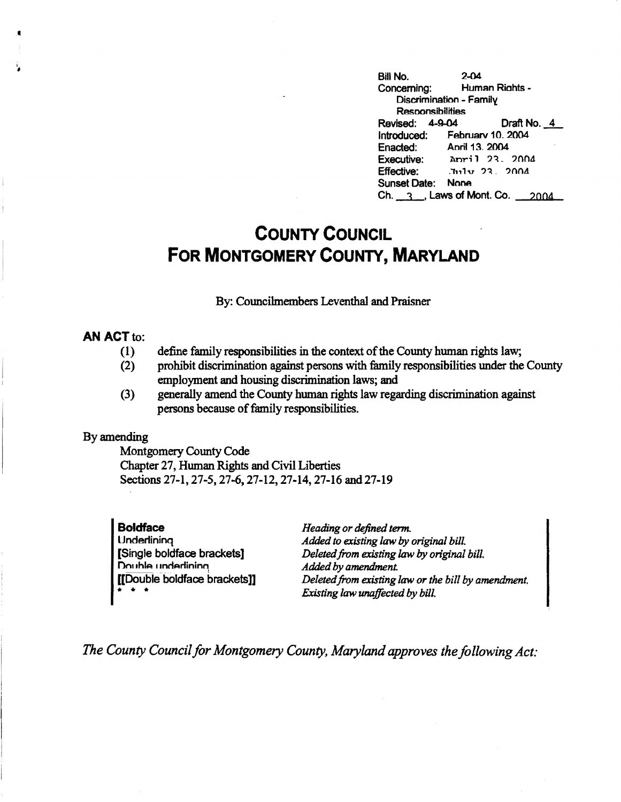**Bill No. 2-04**  Human Rights -Discrimination - Family **Resoom:dbilities**  Revised: 4-9-04 Draft No. 4 Introduced: February 10, 2004<br>Enacted: April 13, 2004 Enacted: April 13, 2004<br>Executive: April 23. **Executive: April 23. 2004**<br>**Effective:** <del>July 23. 2004</del>  $Int1v$  23. 2004 Sunset **Date: None**  Ch.  $-3$ , Laws of Mont. Co.  $-2004$ 

# **COUNTY COUNCIL FOR MONTGOMERY COUNTY, MARYLAND**

By: Councilmembers Leventhal and Praisner

### **AN ACT to:**

•

- (1) define family responsibilities in the context of the County human rights law;
- (2) prohibit discrimination against persons with family responsibilities under the County employment and housing discrimination laws; and
- (3) generally amend the County human rights law regarding discrimination against persons because of family responsibilities.

## By amending

Montgomery County Code Chapter 27, Human Rights and Civil Liberties Sections 27-1, 27-5, 27-6, 27-12, 27-14, 27-16 and 27-19

**Boldface Underlining** [Single boldface brackets] Double underlining [[Double boldface brackets]] • • •

*Heading or defined term. Added to existing law by original bill. Deleted from existing law by original bill. Added by amendment. Deleted from existing law or the bill by amendment. Existing law unaffected by bill.* 

*The County Council for Montgomery County, Maryland approves the following Act:*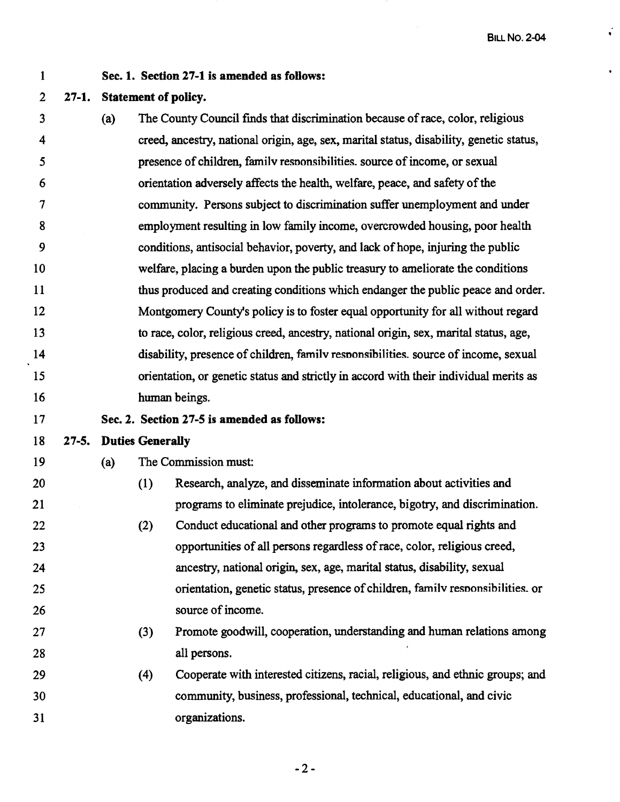1

### **Sec. 1. Section 27-1 is amended as follows:**

#### 2 **27-1. Statement of policy.**

3 4 *5*  6 7 8 9 10 11 12 13 14 15 16 17 **(a)** The County Council finds that discrimination because of race, color, religious creed, ancestry, national origin, age, sex, marital status, disability, genetic status, presence of children, familv resnonsibilities. source of income, or sexual orientation adversely affects the health, welfare, peace, and safety of the community. Persons subject to discrimination suffer unemployment and under employment resulting in low family income, overcrowded housing, poor health conditions, antisocial behavior, poverty, and lack of hope, injuring the public welfare, placing a burden upon the public treasury to ameliorate the conditions thus produced and creating conditions which endanger the public peace and order. Montgomery County's policy is to foster equal opportunity for all without regard to race, color, religious creed, ancestry, national origin, sex, marital status, age, disability, presence of children, familv resnonsibilities. source of income, sexual orientation, or genetic status and strictly in accord with their individual merits as human beings. **Sec. 2. Section 27-S is amended as follows:** 

#### 18 **27-S. Duties Generally**

19

2S

26

( a) The Commission must:

- 20 21 22 23 24 (1) Research, analyze, and disseminate information about activities and programs to eliminate prejudice, intolerance, bigotry, and discrimination. (2) Conduct educational and other programs to promote equal rights and opportunities of all persons regardless of race, color, religious creed, ancestry, national origin, sex, age, marital status, disability, sexual
	- orientation, genetic status, presence of children, familv resnonsibilities. or source of income.
- 27 28 (3) Promote goodwill, cooperation, understanding and human relations among all persons.
- 29 30 31 (4) Cooperate with interested citizens, racial, religious, and ethnic groups; and community, business, professional, technical, educational, and civic organizations.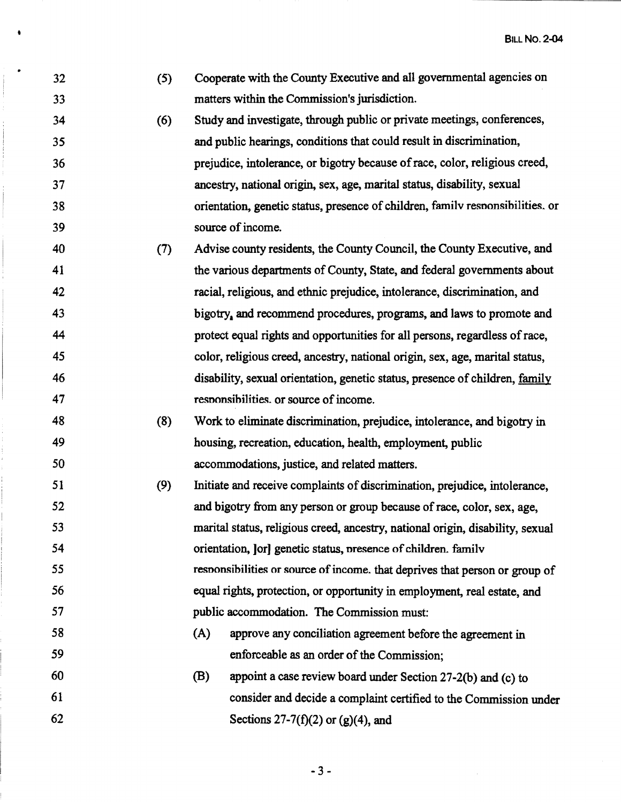• BILL **No. 2-04** 

. 32 (5) Cooperate with the County Executive and all governmental agencies on 33 matters within the Commission's jurisdiction. 34 (6) Study and investigate, through public or private meetings, conferences, 35 and public hearings, conditions that could result in discrimination, 36 prejudice, intolerance, or bigotry because of race, color, religious creed, 37 ancestry, national origin, sex, age, marital status, disability, sexual 38 orientation, genetic status, presence of children, farnilv resnonsibilities. or 39 source of income. 40 (7) Advise county residents, the County Council, the County Executive, and 41 the various departments of County, State, and federal governments about 42 racial, religious, and ethnic prejudice, intolerance, discrimination, and 43 bigotry, and recommend procedures, programs, and laws to promote and 44 protect equal rights and opportunities for all persons, regardless of race, *45* color, religious creed, ancestry, national origin, sex, age, marital status, 46 disability, sexual orientation, genetic status, presence of children, family 47 responsibilities. or source of income. 48 (8) Work to eliminate discrimination, prejudice, intolerance, and bigotry in 49 housing, recreation, education, health, employment, public *50* accommodations, justice, and related matters. 51 (9) Initiate and receive complaints of discrimination, prejudice, intolerance, *52* and bigotry from any person or group because of race, color, sex, age, 53 marital status, religious creed, ancestry, national origin, disability, sexual 54 orientation, ]or] genetic status, nresence of children. familv 55 resnonsibilities or source of income. that deprives that person or group of 56 equal rights, protection, or opportunity in employment, real estate, and 57 public accommodation. The Commission must: 58 (A) approve any conciliation agreement before the agreement in 59 enforceable as an order of the Commission; 60 (B) appoint a case review board under Section 27-2(b) and (c) to 61 consider and decide a complaint certified to the Commission under 62 Sections  $27-7(f)(2)$  or  $(g)(4)$ , and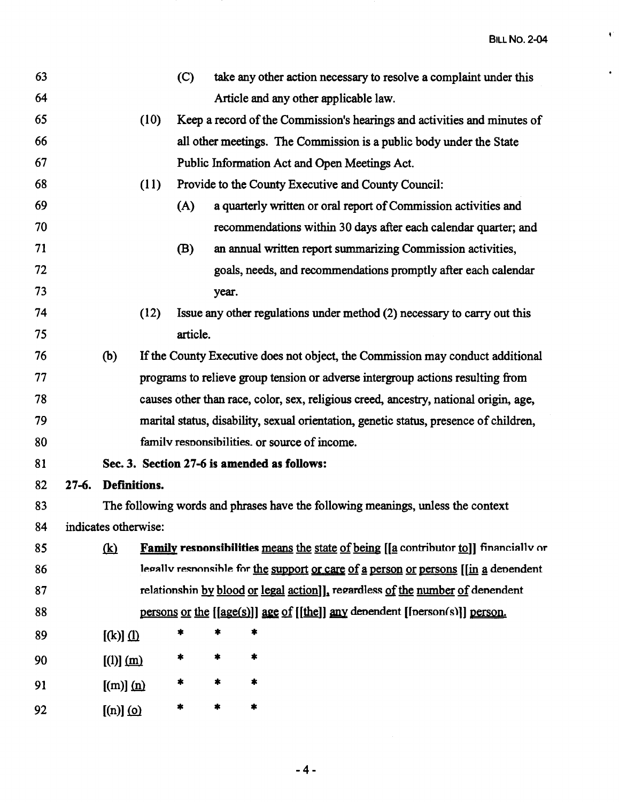$\bar{\blacklozenge}$ 

 $\hat{\mathbf{r}}$ 

| 63 |           |                      |      | (C)      |       | take any other action necessary to resolve a complaint under this                     |
|----|-----------|----------------------|------|----------|-------|---------------------------------------------------------------------------------------|
| 64 |           |                      |      |          |       | Article and any other applicable law.                                                 |
| 65 |           |                      | (10) |          |       | Keep a record of the Commission's hearings and activities and minutes of              |
| 66 |           |                      |      |          |       | all other meetings. The Commission is a public body under the State                   |
| 67 |           |                      |      |          |       | Public Information Act and Open Meetings Act.                                         |
| 68 |           |                      | (11) |          |       | Provide to the County Executive and County Council:                                   |
| 69 |           |                      |      | (A)      |       | a quarterly written or oral report of Commission activities and                       |
| 70 |           |                      |      |          |       | recommendations within 30 days after each calendar quarter; and                       |
| 71 |           |                      |      | (B)      |       | an annual written report summarizing Commission activities,                           |
| 72 |           |                      |      |          |       | goals, needs, and recommendations promptly after each calendar                        |
| 73 |           |                      |      |          | year. |                                                                                       |
| 74 |           |                      | (12) |          |       | Issue any other regulations under method (2) necessary to carry out this              |
| 75 |           |                      |      | article. |       |                                                                                       |
| 76 |           | (b)                  |      |          |       | If the County Executive does not object, the Commission may conduct additional        |
| 77 |           |                      |      |          |       | programs to relieve group tension or adverse intergroup actions resulting from        |
| 78 |           |                      |      |          |       | causes other than race, color, sex, religious creed, ancestry, national origin, age,  |
| 79 |           |                      |      |          |       | marital status, disability, sexual orientation, genetic status, presence of children, |
| 80 |           |                      |      |          |       | family responsibilities. or source of income.                                         |
| 81 |           |                      |      |          |       | Sec. 3. Section 27-6 is amended as follows:                                           |
| 82 | $27 - 6.$ | Definitions.         |      |          |       |                                                                                       |
| 83 |           |                      |      |          |       | The following words and phrases have the following meanings, unless the context       |
| 84 |           | indicates otherwise: |      |          |       |                                                                                       |
| 85 |           | $\mathbf{R}$         |      |          |       | Family responsibilities means the state of being [[a contributor to]] financially or  |
| 86 |           |                      |      |          |       | legally responsible for the support or care of a person or persons [[in a dependent   |
| 87 |           |                      |      |          |       | relationshin by blood or legal action]], regardless of the number of denendent        |
| 88 |           |                      |      |          |       | persons or the [[age(s)]] age of [[the]] any denendent [[nerson(s)]] person.          |
| 89 |           | $[(k)]$ (1)          |      | *        |       | *                                                                                     |
| 90 |           | [(1)] (m)            |      | *        |       | *                                                                                     |
| 91 |           | $[(m)]$ $(n)$        |      | *        | *     | *                                                                                     |
| 92 |           | $[(n)]$ (o)          |      | *        | *     | *                                                                                     |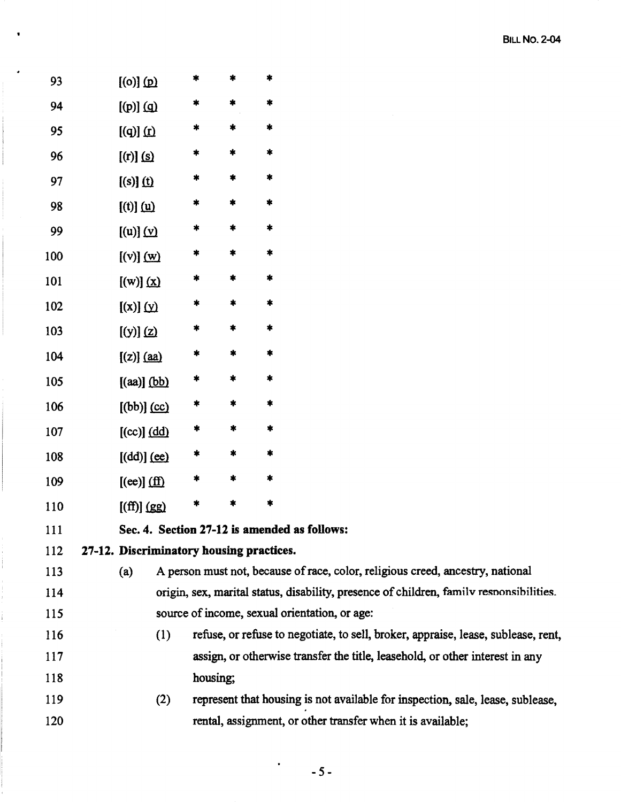| 93  | $[00]$ (p)                               | $\ast$ | *                | $\ast$                                                                                  |
|-----|------------------------------------------|--------|------------------|-----------------------------------------------------------------------------------------|
| 94  | $[$ (p) $]$ (g)                          | *      | *                | *                                                                                       |
| 95  | $[(q)]$ $(f)$                            | *      | $\ast$           | *                                                                                       |
| 96  | $[$ (r)] $\Omega$                        | *      | $\boldsymbol{*}$ | $\ast$                                                                                  |
| 97  | $[(s)]$ $(1)$                            | *      | *                | *                                                                                       |
| 98  | $[(t)]$ $($ u $)$                        | *      | $\pmb{\ast}$     | $\boldsymbol{*}$                                                                        |
| 99  | [(u)] (v)                                | *      | *                | $\ddagger$                                                                              |
| 100 | [(v)] (w)                                | *      | $\ast$           | $\pmb{\ast}$                                                                            |
| 101 | [(w)] (x)                                | *      | *                | *                                                                                       |
| 102 | $[(x)]$ $(y)$                            | *      | $\ast$           | $\ast$                                                                                  |
| 103 | [(y)] (z)                                | *      | *                | $\ast$                                                                                  |
| 104 | $[(z)]$ $(aa)$                           | *      | $\pmb{\ast}$     | *                                                                                       |
| 105 | $[(aa)]$ (bb)                            | *      | *                | $\ast$                                                                                  |
| 106 | $[(bb)]$ $(cc)$                          | *      | $\ast$           | *                                                                                       |
| 107 | [ (cc) ] (dd)                            | *      | $\pmb{\ast}$     | $\ast$                                                                                  |
| 108 | [(dd)] (ee)                              | *      | $\pmb{\ast}$     | *                                                                                       |
| 109 | $[(ee)]$ (ff)                            | *      | $\ast$           | *                                                                                       |
| 110 | [(ff)] (gg)                              | *      | *                | *                                                                                       |
| 111 |                                          |        |                  | Sec. 4. Section 27-12 is amended as follows:                                            |
| 112 | 27-12. Discriminatory housing practices. |        |                  |                                                                                         |
| 113 | (a)                                      |        |                  | A person must not, because of race, color, religious creed, ancestry, national          |
| 114 |                                          |        |                  | origin, sex, marital status, disability, presence of children, family responsibilities. |
| 115 |                                          |        |                  | source of income, sexual orientation, or age:                                           |
| 116 |                                          | (1)    |                  | refuse, or refuse to negotiate, to sell, broker, appraise, lease, sublease, rent,       |
| 117 |                                          |        |                  | assign, or otherwise transfer the title, leasehold, or other interest in any            |
| 118 |                                          |        | housing;         |                                                                                         |
| 119 |                                          | (2)    |                  | represent that housing is not available for inspection, sale, lease, sublease,          |
| 120 |                                          |        |                  | rental, assignment, or other transfer when it is available;                             |
|     |                                          |        |                  |                                                                                         |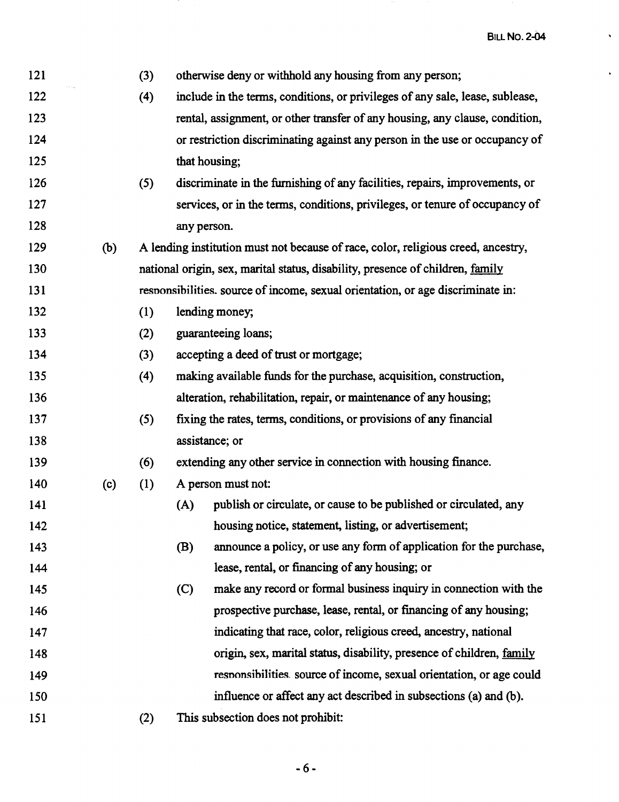$\hat{\mathbf{v}}$ 

 $\hat{\mathbf{v}}$ 

| 121 |     | (3) | otherwise deny or withhold any housing from any person;                           |
|-----|-----|-----|-----------------------------------------------------------------------------------|
| 122 |     | (4) | include in the terms, conditions, or privileges of any sale, lease, sublease,     |
| 123 |     |     | rental, assignment, or other transfer of any housing, any clause, condition,      |
| 124 |     |     | or restriction discriminating against any person in the use or occupancy of       |
| 125 |     |     | that housing;                                                                     |
| 126 |     | (5) | discriminate in the furnishing of any facilities, repairs, improvements, or       |
| 127 |     |     | services, or in the terms, conditions, privileges, or tenure of occupancy of      |
| 128 |     |     | any person.                                                                       |
| 129 | (b) |     | A lending institution must not because of race, color, religious creed, ancestry, |
| 130 |     |     | national origin, sex, marital status, disability, presence of children, family    |
| 131 |     |     | responsibilities. source of income, sexual orientation, or age discriminate in:   |
| 132 |     | (1) | lending money;                                                                    |
| 133 |     | (2) | guaranteeing loans;                                                               |
| 134 |     | (3) | accepting a deed of trust or mortgage;                                            |
| 135 |     | (4) | making available funds for the purchase, acquisition, construction,               |
| 136 |     |     | alteration, rehabilitation, repair, or maintenance of any housing;                |
| 137 |     | (5) | fixing the rates, terms, conditions, or provisions of any financial               |
| 138 |     |     | assistance; or                                                                    |
| 139 |     | (6) | extending any other service in connection with housing finance.                   |
| 140 | (c) | (1) | A person must not:                                                                |
| 141 |     |     | publish or circulate, or cause to be published or circulated, any<br>(A)          |
| 142 |     |     | housing notice, statement, listing, or advertisement;                             |
| 143 |     |     | announce a policy, or use any form of application for the purchase,<br>(B)        |
| 144 |     |     | lease, rental, or financing of any housing; or                                    |
| 145 |     |     | make any record or formal business inquiry in connection with the<br>(C)          |
| 146 |     |     | prospective purchase, lease, rental, or financing of any housing;                 |
| 147 |     |     | indicating that race, color, religious creed, ancestry, national                  |
| 148 |     |     | origin, sex, marital status, disability, presence of children, family             |
| 149 |     |     | responsibilities source of income, sexual orientation, or age could               |
| 150 |     |     | influence or affect any act described in subsections (a) and (b).                 |
| 151 |     | (2) | This subsection does not prohibit:                                                |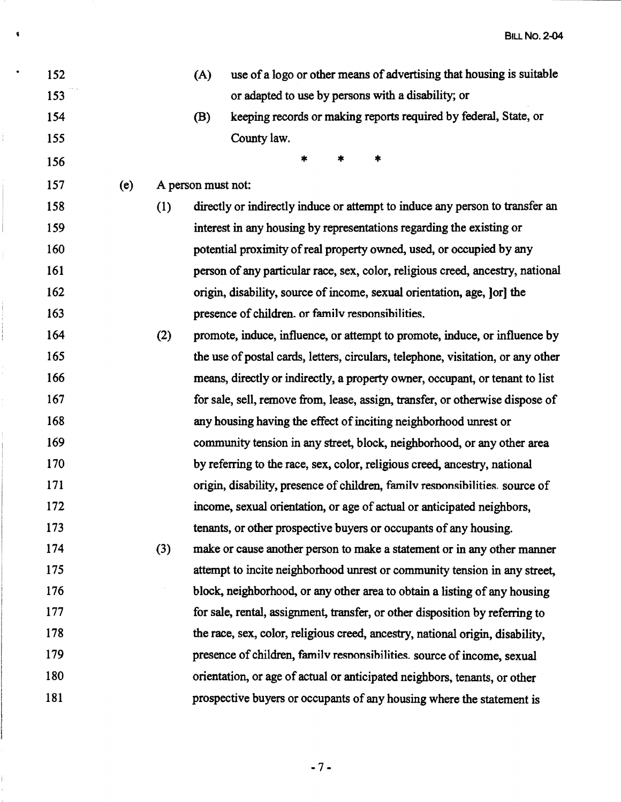' BILL **No. 2-04** 

| 152 |     |     | (A)                | use of a logo or other means of advertising that housing is suitable             |
|-----|-----|-----|--------------------|----------------------------------------------------------------------------------|
| 153 |     |     |                    | or adapted to use by persons with a disability; or                               |
| 154 |     |     | (B)                | keeping records or making reports required by federal, State, or                 |
| 155 |     |     |                    | County law.                                                                      |
| 156 |     |     |                    | 字<br>*<br>寒                                                                      |
| 157 | (e) |     | A person must not: |                                                                                  |
| 158 |     | (1) |                    | directly or indirectly induce or attempt to induce any person to transfer an     |
| 159 |     |     |                    | interest in any housing by representations regarding the existing or             |
| 160 |     |     |                    | potential proximity of real property owned, used, or occupied by any             |
| 161 |     |     |                    | person of any particular race, sex, color, religious creed, ancestry, national   |
| 162 |     |     |                    | origin, disability, source of income, sexual orientation, age, [or] the          |
| 163 |     |     |                    | presence of children. or family responsibilities.                                |
| 164 |     | (2) |                    | promote, induce, influence, or attempt to promote, induce, or influence by       |
| 165 |     |     |                    | the use of postal cards, letters, circulars, telephone, visitation, or any other |
| 166 |     |     |                    | means, directly or indirectly, a property owner, occupant, or tenant to list     |
| 167 |     |     |                    | for sale, sell, remove from, lease, assign, transfer, or otherwise dispose of    |
| 168 |     |     |                    | any housing having the effect of inciting neighborhood unrest or                 |
| 169 |     |     |                    | community tension in any street, block, neighborhood, or any other area          |
| 170 |     |     |                    | by referring to the race, sex, color, religious creed, ancestry, national        |
| 171 |     |     |                    | origin, disability, presence of children, family responsibilities, source of     |
| 172 |     |     |                    | income, sexual orientation, or age of actual or anticipated neighbors,           |
| 173 |     |     |                    | tenants, or other prospective buyers or occupants of any housing.                |
| 174 |     | (3) |                    | make or cause another person to make a statement or in any other manner          |
| 175 |     |     |                    | attempt to incite neighborhood unrest or community tension in any street,        |
| 176 |     |     |                    | block, neighborhood, or any other area to obtain a listing of any housing        |
| 177 |     |     |                    | for sale, rental, assignment, transfer, or other disposition by referring to     |
| 178 |     |     |                    | the race, sex, color, religious creed, ancestry, national origin, disability,    |
| 179 |     |     |                    | presence of children, family responsibilities. source of income, sexual          |
| 180 |     |     |                    | orientation, or age of actual or anticipated neighbors, tenants, or other        |
| 181 |     |     |                    | prospective buyers or occupants of any housing where the statement is            |
|     |     |     |                    |                                                                                  |

 $\frac{1}{1}$ 

-7-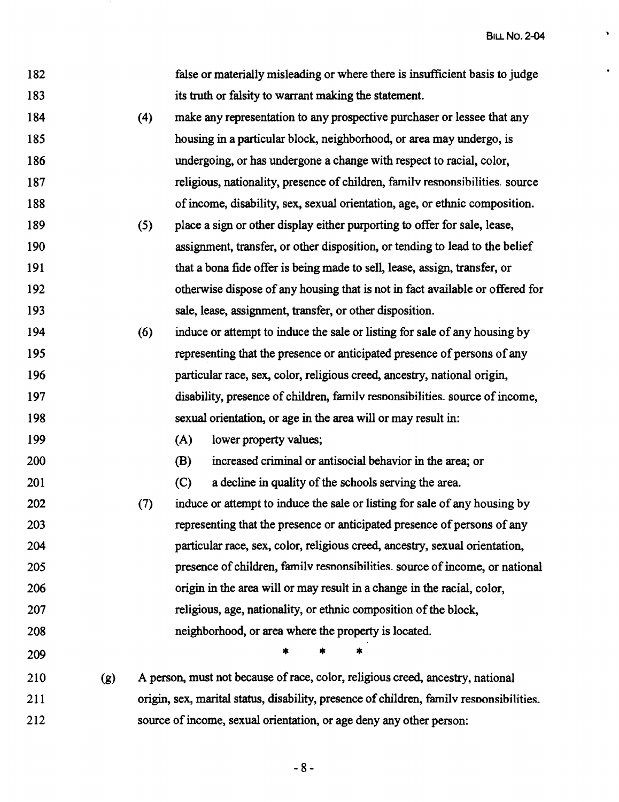BILL **No. 2-04** 

 $\hat{\mathbf{v}}$ 

 $\hat{\mathbf{r}}$ 

| 182 |     |     | false or materially misleading or where there is insufficient basis to judge            |
|-----|-----|-----|-----------------------------------------------------------------------------------------|
| 183 |     |     | its truth or falsity to warrant making the statement.                                   |
| 184 |     | (4) | make any representation to any prospective purchaser or lessee that any                 |
| 185 |     |     | housing in a particular block, neighborhood, or area may undergo, is                    |
| 186 |     |     | undergoing, or has undergone a change with respect to racial, color,                    |
| 187 |     |     | religious, nationality, presence of children, family responsibilities. source           |
| 188 |     |     | of income, disability, sex, sexual orientation, age, or ethnic composition.             |
| 189 |     | (5) | place a sign or other display either purporting to offer for sale, lease,               |
| 190 |     |     | assignment, transfer, or other disposition, or tending to lead to the belief            |
| 191 |     |     | that a bona fide offer is being made to sell, lease, assign, transfer, or               |
| 192 |     |     | otherwise dispose of any housing that is not in fact available or offered for           |
| 193 |     |     | sale, lease, assignment, transfer, or other disposition.                                |
| 194 |     | (6) | induce or attempt to induce the sale or listing for sale of any housing by              |
| 195 |     |     | representing that the presence or anticipated presence of persons of any                |
| 196 |     |     | particular race, sex, color, religious creed, ancestry, national origin,                |
| 197 |     |     | disability, presence of children, family responsibilities, source of income,            |
| 198 |     |     | sexual orientation, or age in the area will or may result in:                           |
| 199 |     |     | (A)<br>lower property values;                                                           |
| 200 |     |     | (B)<br>increased criminal or antisocial behavior in the area; or                        |
| 201 |     |     | a decline in quality of the schools serving the area.<br>(C)                            |
| 202 |     | (7) | induce or attempt to induce the sale or listing for sale of any housing by              |
| 203 |     |     | representing that the presence or anticipated presence of persons of any                |
| 204 |     |     | particular race, sex, color, religious creed, ancestry, sexual orientation,             |
| 205 |     |     | presence of children, family responsibilities, source of income, or national            |
| 206 |     |     | origin in the area will or may result in a change in the racial, color,                 |
| 207 |     |     | religious, age, nationality, or ethnic composition of the block,                        |
| 208 |     |     | neighborhood, or area where the property is located.                                    |
| 209 |     |     | *                                                                                       |
| 210 | (g) |     | A person, must not because of race, color, religious creed, ancestry, national          |
| 211 |     |     | origin, sex, marital status, disability, presence of children, family responsibilities. |
| 212 |     |     | source of income, sexual orientation, or age deny any other person:                     |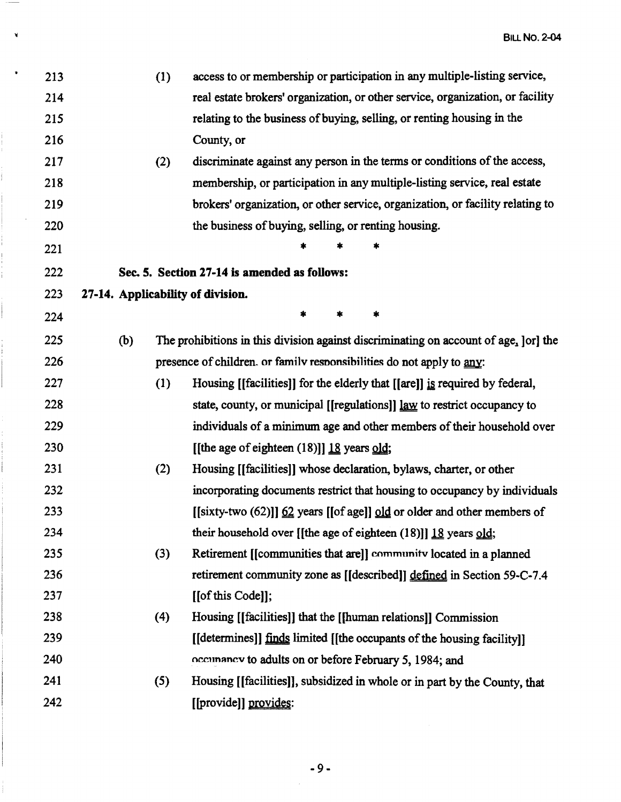| access to or membership or participation in any multiple-listing service,            |
|--------------------------------------------------------------------------------------|
| real estate brokers' organization, or other service, organization, or facility       |
| relating to the business of buying, selling, or renting housing in the               |
|                                                                                      |
| discriminate against any person in the terms or conditions of the access,            |
| membership, or participation in any multiple-listing service, real estate            |
| brokers' organization, or other service, organization, or facility relating to       |
| the business of buying, selling, or renting housing.                                 |
|                                                                                      |
|                                                                                      |
|                                                                                      |
|                                                                                      |
| The prohibitions in this division against discriminating on account of age, [or] the |
| presence of children. or family responsibilities do not apply to any:                |
| Housing [[facilities]] for the elderly that [[are]] is required by federal,          |
| state, county, or municipal [[regulations]] law to restrict occupancy to             |
| individuals of a minimum age and other members of their household over               |
|                                                                                      |
| Housing [[facilities]] whose declaration, bylaws, charter, or other                  |
| incorporating documents restrict that housing to occupancy by individuals            |
| [[sixty-two (62)]] $62$ years [[of age]] $9d$ or older and other members of          |
| their household over [[the age of eighteen $(18)$ ]] 18 years old;                   |
| Retirement [[communities that are]] community located in a planned                   |
| retirement community zone as [[described]] defined in Section 59-C-7.4               |
|                                                                                      |
| Housing [[facilities]] that the [[human relations]] Commission                       |
| [[determines]] finds limited [[the occupants of the housing facility]]               |
| occunancy to adults on or before February 5, 1984; and                               |
| Housing [[facilities]], subsidized in whole or in part by the County, that           |
|                                                                                      |
|                                                                                      |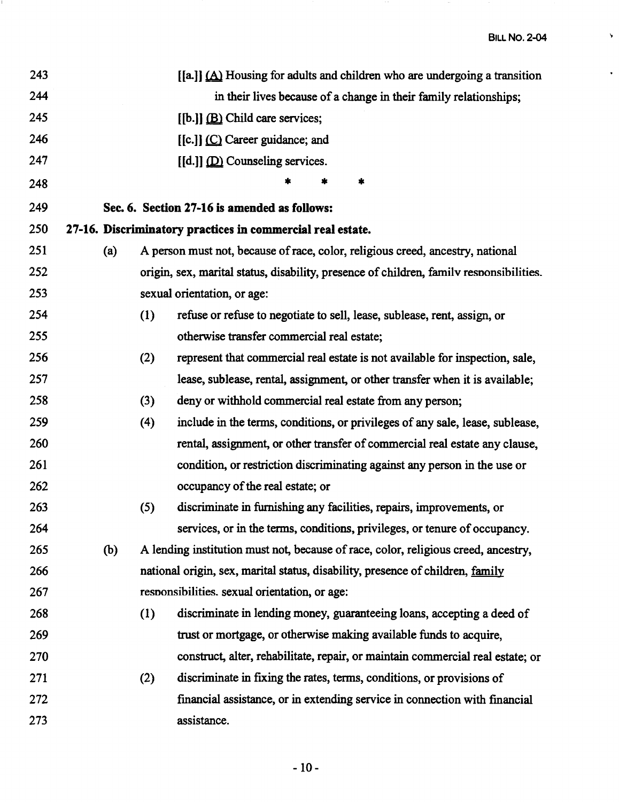$\bar{\mathbf{y}}$ 

 $\hat{\mathbf{r}}$ 

| 243 |     |     | $\left[\begin{bmatrix} a \\ b \end{bmatrix}\right]$ (A) Housing for adults and children who are undergoing a transition |
|-----|-----|-----|-------------------------------------------------------------------------------------------------------------------------|
| 244 |     |     | in their lives because of a change in their family relationships;                                                       |
| 245 |     |     | $[[b.]]$ $(B)$ Child care services;                                                                                     |
| 246 |     |     | [[c.]] (C) Career guidance; and                                                                                         |
| 247 |     |     | $[[d.]]$ $[$                                                                                                            |
| 248 |     |     | *<br>*                                                                                                                  |
| 249 |     |     | Sec. 6. Section 27-16 is amended as follows:                                                                            |
| 250 |     |     | 27-16. Discriminatory practices in commercial real estate.                                                              |
| 251 | (a) |     | A person must not, because of race, color, religious creed, ancestry, national                                          |
| 252 |     |     | origin, sex, marital status, disability, presence of children, family responsibilities.                                 |
| 253 |     |     | sexual orientation, or age:                                                                                             |
| 254 |     | (1) | refuse or refuse to negotiate to sell, lease, sublease, rent, assign, or                                                |
| 255 |     |     | otherwise transfer commercial real estate;                                                                              |
| 256 |     | (2) | represent that commercial real estate is not available for inspection, sale,                                            |
| 257 |     |     | lease, sublease, rental, assignment, or other transfer when it is available;                                            |
| 258 |     | (3) | deny or withhold commercial real estate from any person;                                                                |
| 259 |     | (4) | include in the terms, conditions, or privileges of any sale, lease, sublease,                                           |
| 260 |     |     | rental, assignment, or other transfer of commercial real estate any clause,                                             |
| 261 |     |     | condition, or restriction discriminating against any person in the use or                                               |
| 262 |     |     | occupancy of the real estate; or                                                                                        |
| 263 |     | (5) | discriminate in furnishing any facilities, repairs, improvements, or                                                    |
| 264 |     |     | services, or in the terms, conditions, privileges, or tenure of occupancy.                                              |
| 265 | (b) |     | A lending institution must not, because of race, color, religious creed, ancestry,                                      |
| 266 |     |     | national origin, sex, marital status, disability, presence of children, family                                          |
| 267 |     |     | responsibilities. sexual orientation, or age:                                                                           |
| 268 |     | (1) | discriminate in lending money, guaranteeing loans, accepting a deed of                                                  |
| 269 |     |     | trust or mortgage, or otherwise making available funds to acquire,                                                      |
| 270 |     |     | construct, alter, rehabilitate, repair, or maintain commercial real estate; or                                          |
| 271 |     | (2) | discriminate in fixing the rates, terms, conditions, or provisions of                                                   |
| 272 |     |     | financial assistance, or in extending service in connection with financial                                              |
| 273 |     |     | assistance.                                                                                                             |
|     |     |     |                                                                                                                         |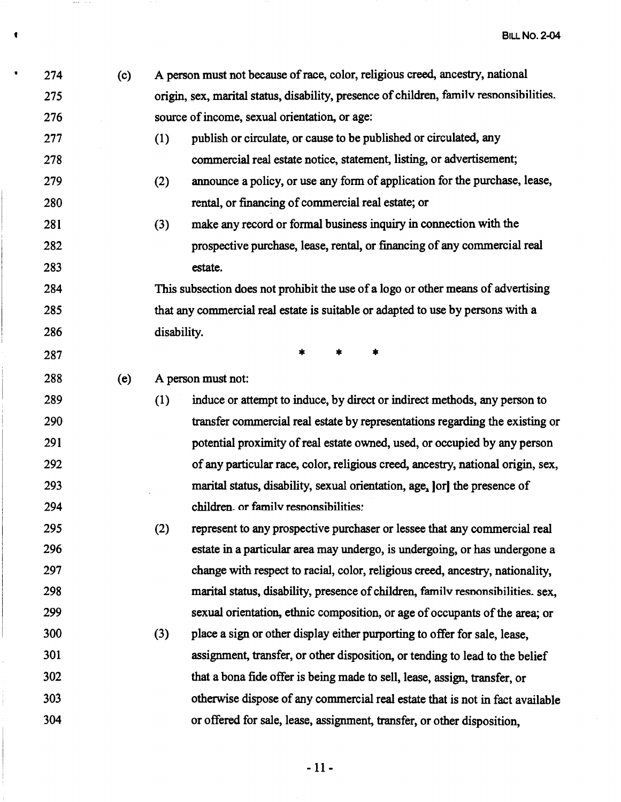| ٠ | 274 | (c) |             | A person must not because of race, color, religious creed, ancestry, national           |
|---|-----|-----|-------------|-----------------------------------------------------------------------------------------|
|   | 275 |     |             | origin, sex, marital status, disability, presence of children, family responsibilities. |
|   | 276 |     |             | source of income, sexual orientation, or age:                                           |
|   | 277 |     | (1)         | publish or circulate, or cause to be published or circulated, any                       |
|   | 278 |     |             | commercial real estate notice, statement, listing, or advertisement;                    |
|   | 279 |     | (2)         | announce a policy, or use any form of application for the purchase, lease,              |
|   | 280 |     |             | rental, or financing of commercial real estate; or                                      |
|   | 281 |     | (3)         | make any record or formal business inquiry in connection with the                       |
|   | 282 |     |             | prospective purchase, lease, rental, or financing of any commercial real                |
|   | 283 |     |             | estate.                                                                                 |
|   | 284 |     |             | This subsection does not prohibit the use of a logo or other means of advertising       |
|   | 285 |     |             | that any commercial real estate is suitable or adapted to use by persons with a         |
|   | 286 |     | disability. |                                                                                         |
|   | 287 |     |             | $\ast$<br>*<br>*                                                                        |
|   | 288 | (e) |             | A person must not:                                                                      |
|   | 289 |     | (1)         | induce or attempt to induce, by direct or indirect methods, any person to               |
|   | 290 |     |             | transfer commercial real estate by representations regarding the existing or            |
|   | 291 |     |             | potential proximity of real estate owned, used, or occupied by any person               |
|   | 292 |     |             | of any particular race, color, religious creed, ancestry, national origin, sex,         |
|   | 293 |     |             | marital status, disability, sexual orientation, age, [or] the presence of               |
|   | 294 |     |             | children. or family responsibilities:                                                   |
|   | 295 |     | (2)         | represent to any prospective purchaser or lessee that any commercial real               |
|   | 296 |     |             | estate in a particular area may undergo, is undergoing, or has undergone a              |
|   | 297 |     |             | change with respect to racial, color, religious creed, ancestry, nationality,           |
|   | 298 |     |             | marital status, disability, presence of children, family responsibilities. sex,         |
|   | 299 |     |             | sexual orientation, ethnic composition, or age of occupants of the area; or             |
|   | 300 |     | (3)         | place a sign or other display either purporting to offer for sale, lease,               |
|   | 301 |     |             | assignment, transfer, or other disposition, or tending to lead to the belief            |
|   | 302 |     |             | that a bona fide offer is being made to sell, lease, assign, transfer, or               |
|   | 303 |     |             | otherwise dispose of any commercial real estate that is not in fact available           |
|   | 304 |     |             | or offered for sale, lease, assignment, transfer, or other disposition,                 |
|   |     |     |             |                                                                                         |

**1** 

 $\mathcal{L}_{\mathcal{A}}$  and  $\mathcal{L}_{\mathcal{A}}$  and  $\mathcal{L}_{\mathcal{A}}$ 

- 11-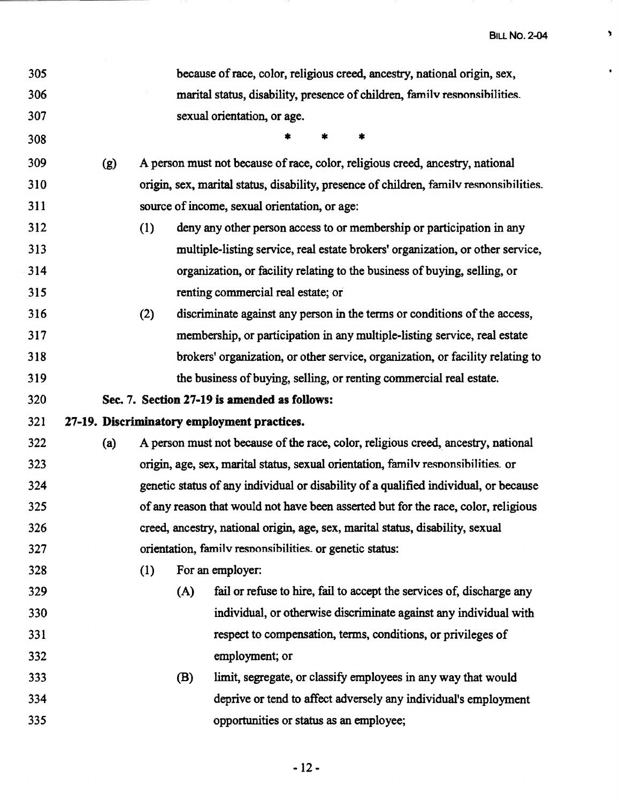$\bar{\mathbf{y}}$ 

 $\bullet$ 

| 305 |     |     |     | because of race, color, religious creed, ancestry, national origin, sex,                |
|-----|-----|-----|-----|-----------------------------------------------------------------------------------------|
| 306 |     |     |     | marital status, disability, presence of children, family responsibilities.              |
| 307 |     |     |     | sexual orientation, or age.                                                             |
| 308 |     |     |     | 袁<br>*                                                                                  |
| 309 | (g) |     |     | A person must not because of race, color, religious creed, ancestry, national           |
| 310 |     |     |     | origin, sex, marital status, disability, presence of children, family responsibilities. |
| 311 |     |     |     | source of income, sexual orientation, or age:                                           |
| 312 |     | (1) |     | deny any other person access to or membership or participation in any                   |
| 313 |     |     |     | multiple-listing service, real estate brokers' organization, or other service,          |
| 314 |     |     |     | organization, or facility relating to the business of buying, selling, or               |
| 315 |     |     |     | renting commercial real estate; or                                                      |
| 316 |     | (2) |     | discriminate against any person in the terms or conditions of the access,               |
| 317 |     |     |     | membership, or participation in any multiple-listing service, real estate               |
| 318 |     |     |     | brokers' organization, or other service, organization, or facility relating to          |
| 319 |     |     |     | the business of buying, selling, or renting commercial real estate.                     |
| 320 |     |     |     | Sec. 7. Section 27-19 is amended as follows:                                            |
| 321 |     |     |     | 27-19. Discriminatory employment practices.                                             |
| 322 | (a) |     |     | A person must not because of the race, color, religious creed, ancestry, national       |
| 323 |     |     |     | origin, age, sex, marital status, sexual orientation, family responsibilities. or       |
| 324 |     |     |     | genetic status of any individual or disability of a qualified individual, or because    |
| 325 |     |     |     | of any reason that would not have been asserted but for the race, color, religious      |
| 326 |     |     |     | creed, ancestry, national origin, age, sex, marital status, disability, sexual          |
| 327 |     |     |     | orientation, family responsibilities, or genetic status:                                |
| 328 |     | (1) |     | For an employer:                                                                        |
| 329 |     |     | (A) | fail or refuse to hire, fail to accept the services of, discharge any                   |
| 330 |     |     |     | individual, or otherwise discriminate against any individual with                       |
| 331 |     |     |     | respect to compensation, terms, conditions, or privileges of                            |
| 332 |     |     |     | employment; or                                                                          |
| 333 |     |     | (B) | limit, segregate, or classify employees in any way that would                           |
| 334 |     |     |     | deprive or tend to affect adversely any individual's employment                         |
| 335 |     |     |     | opportunities or status as an employee;                                                 |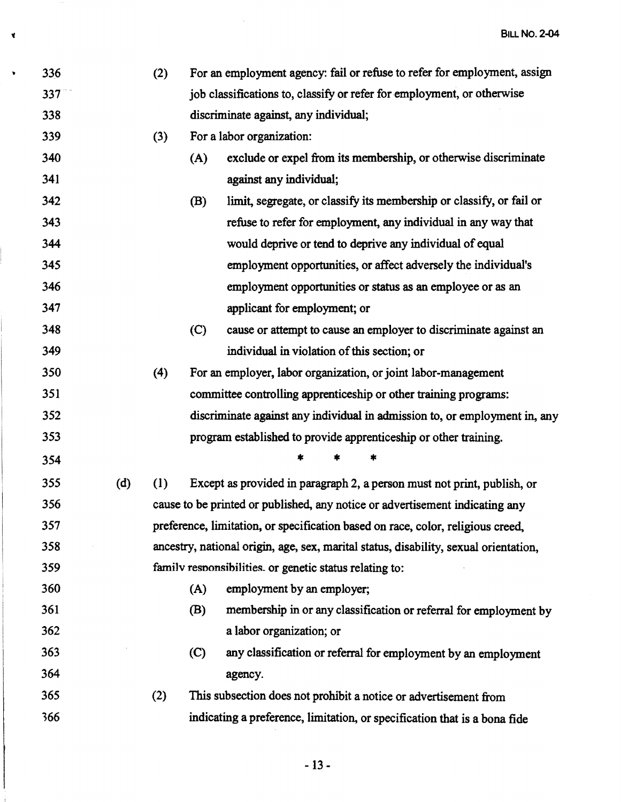| 336 |     | (2) |     | For an employment agency: fail or refuse to refer for employment, assign             |
|-----|-----|-----|-----|--------------------------------------------------------------------------------------|
| 337 |     |     |     | job classifications to, classify or refer for employment, or otherwise               |
| 338 |     |     |     | discriminate against, any individual;                                                |
| 339 |     | (3) |     | For a labor organization:                                                            |
| 340 |     |     | (A) | exclude or expel from its membership, or otherwise discriminate                      |
| 341 |     |     |     | against any individual;                                                              |
| 342 |     |     | (B) | limit, segregate, or classify its membership or classify, or fail or                 |
| 343 |     |     |     | refuse to refer for employment, any individual in any way that                       |
| 344 |     |     |     | would deprive or tend to deprive any individual of equal                             |
| 345 |     |     |     | employment opportunities, or affect adversely the individual's                       |
| 346 |     |     |     | employment opportunities or status as an employee or as an                           |
| 347 |     |     |     | applicant for employment; or                                                         |
| 348 |     |     | (C) | cause or attempt to cause an employer to discriminate against an                     |
| 349 |     |     |     | individual in violation of this section; or                                          |
| 350 |     | (4) |     | For an employer, labor organization, or joint labor-management                       |
| 351 |     |     |     | committee controlling apprenticeship or other training programs:                     |
| 352 |     |     |     | discriminate against any individual in admission to, or employment in, any           |
| 353 |     |     |     | program established to provide apprenticeship or other training.                     |
| 354 |     |     |     | *<br>*                                                                               |
| 355 | (d) | (1) |     | Except as provided in paragraph 2, a person must not print, publish, or              |
| 356 |     |     |     | cause to be printed or published, any notice or advertisement indicating any         |
| 357 |     |     |     | preference, limitation, or specification based on race, color, religious creed,      |
| 358 |     |     |     | ancestry, national origin, age, sex, marital status, disability, sexual orientation, |
| 359 |     |     |     | family responsibilities. or genetic status relating to:                              |
| 360 |     |     | (A) | employment by an employer;                                                           |
| 361 |     |     | (B) | membership in or any classification or referral for employment by                    |
| 362 |     |     |     | a labor organization; or                                                             |
| 363 |     |     | (C) | any classification or referral for employment by an employment                       |
| 364 |     |     |     | agency.                                                                              |
| 365 |     | (2) |     | This subsection does not prohibit a notice or advertisement from                     |
| 366 |     |     |     | indicating a preference, limitation, or specification that is a bona fide            |

 $\mathcal{L}_{\mathcal{L}}$ 

 $\vec{v}$ 

 $\hat{\mathbf{v}}$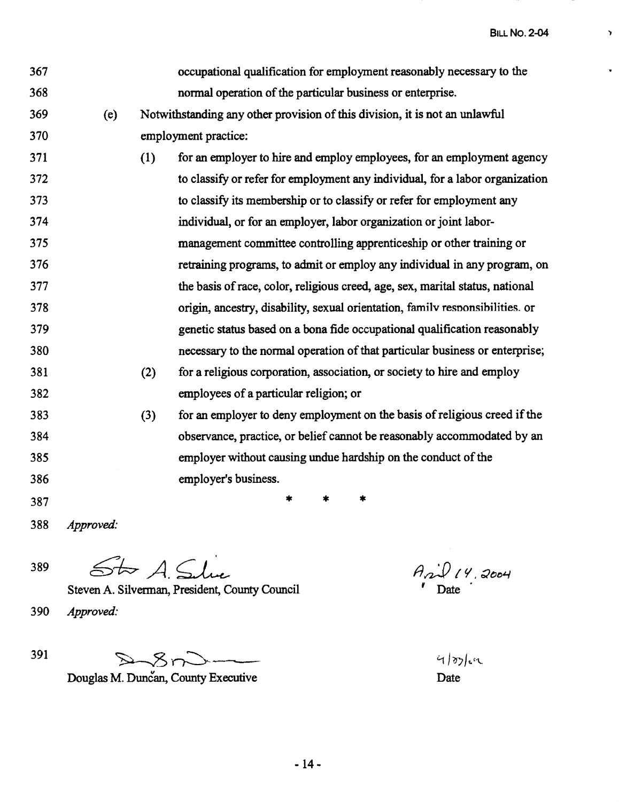BILL **No. 2-04** 

 $\mathbf{r}$ 

v.

| 367 |           |     | occupational qualification for employment reasonably necessary to the         |
|-----|-----------|-----|-------------------------------------------------------------------------------|
| 368 |           |     | normal operation of the particular business or enterprise.                    |
| 369 | (e)       |     | Notwithstanding any other provision of this division, it is not an unlawful   |
| 370 |           |     | employment practice:                                                          |
| 371 |           | (1) | for an employer to hire and employe employees, for an employment agency       |
| 372 |           |     | to classify or refer for employment any individual, for a labor organization  |
| 373 |           |     | to classify its membership or to classify or refer for employment any         |
| 374 |           |     | individual, or for an employer, labor organization or joint labor-            |
| 375 |           |     | management committee controlling apprenticeship or other training or          |
| 376 |           |     | retraining programs, to admit or employ any individual in any program, on     |
| 377 |           |     | the basis of race, color, religious creed, age, sex, marital status, national |
| 378 |           |     | origin, ancestry, disability, sexual orientation, family responsibilities. or |
| 379 |           |     | genetic status based on a bona fide occupational qualification reasonably     |
| 380 |           |     | necessary to the normal operation of that particular business or enterprise;  |
| 381 |           | (2) | for a religious corporation, association, or society to hire and employ       |
| 382 |           |     | employees of a particular religion; or                                        |
| 383 |           | (3) | for an employer to deny employment on the basis of religious creed if the     |
| 384 |           |     | observance, practice, or belief cannot be reasonably accommodated by an       |
| 385 |           |     | employer without causing undue hardship on the conduct of the                 |
| 386 |           |     | employer's business.                                                          |
| 387 |           |     | $\ast$<br>$\ast$<br>*                                                         |
| 388 | Approved: |     |                                                                               |

389  $$kA$$ 

Steven A. Silverman, President, County Council

390 *Approved:* 

 $391~$ 

Douglas M. Duncan, County Executive

fJaJ} *I l/,* ~tJo4  $'$  Date  $\cdot$ 

 $435cm$ Date